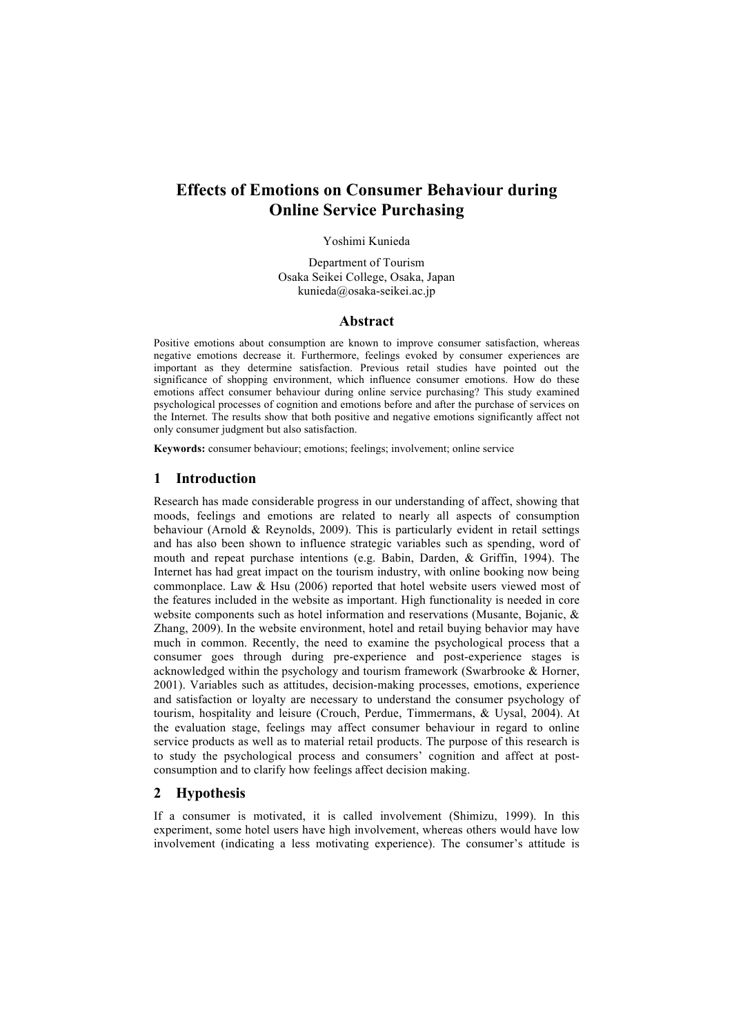# **Effects of Emotions on Consumer Behaviour during Online Service Purchasing**

#### Yoshimi Kunieda

Department of Tourism Osaka Seikei College, Osaka, Japan kunieda@osaka-seikei.ac.jp

#### **Abstract**

Positive emotions about consumption are known to improve consumer satisfaction, whereas negative emotions decrease it. Furthermore, feelings evoked by consumer experiences are important as they determine satisfaction. Previous retail studies have pointed out the significance of shopping environment, which influence consumer emotions. How do these emotions affect consumer behaviour during online service purchasing? This study examined psychological processes of cognition and emotions before and after the purchase of services on the Internet. The results show that both positive and negative emotions significantly affect not only consumer judgment but also satisfaction.

**Keywords:** consumer behaviour; emotions; feelings; involvement; online service

## **1 Introduction**

Research has made considerable progress in our understanding of affect, showing that moods, feelings and emotions are related to nearly all aspects of consumption behaviour (Arnold & Reynolds, 2009). This is particularly evident in retail settings and has also been shown to influence strategic variables such as spending, word of mouth and repeat purchase intentions (e.g. Babin, Darden, & Griffin, 1994). The Internet has had great impact on the tourism industry, with online booking now being commonplace. Law  $&$  Hsu (2006) reported that hotel website users viewed most of the features included in the website as important. High functionality is needed in core website components such as hotel information and reservations (Musante, Bojanic, & Zhang, 2009). In the website environment, hotel and retail buying behavior may have much in common. Recently, the need to examine the psychological process that a consumer goes through during pre-experience and post-experience stages is acknowledged within the psychology and tourism framework (Swarbrooke & Horner, 2001). Variables such as attitudes, decision-making processes, emotions, experience and satisfaction or loyalty are necessary to understand the consumer psychology of tourism, hospitality and leisure (Crouch, Perdue, Timmermans, & Uysal, 2004). At the evaluation stage, feelings may affect consumer behaviour in regard to online service products as well as to material retail products. The purpose of this research is to study the psychological process and consumers' cognition and affect at postconsumption and to clarify how feelings affect decision making.

## **2 Hypothesis**

If a consumer is motivated, it is called involvement (Shimizu, 1999). In this experiment, some hotel users have high involvement, whereas others would have low involvement (indicating a less motivating experience). The consumer's attitude is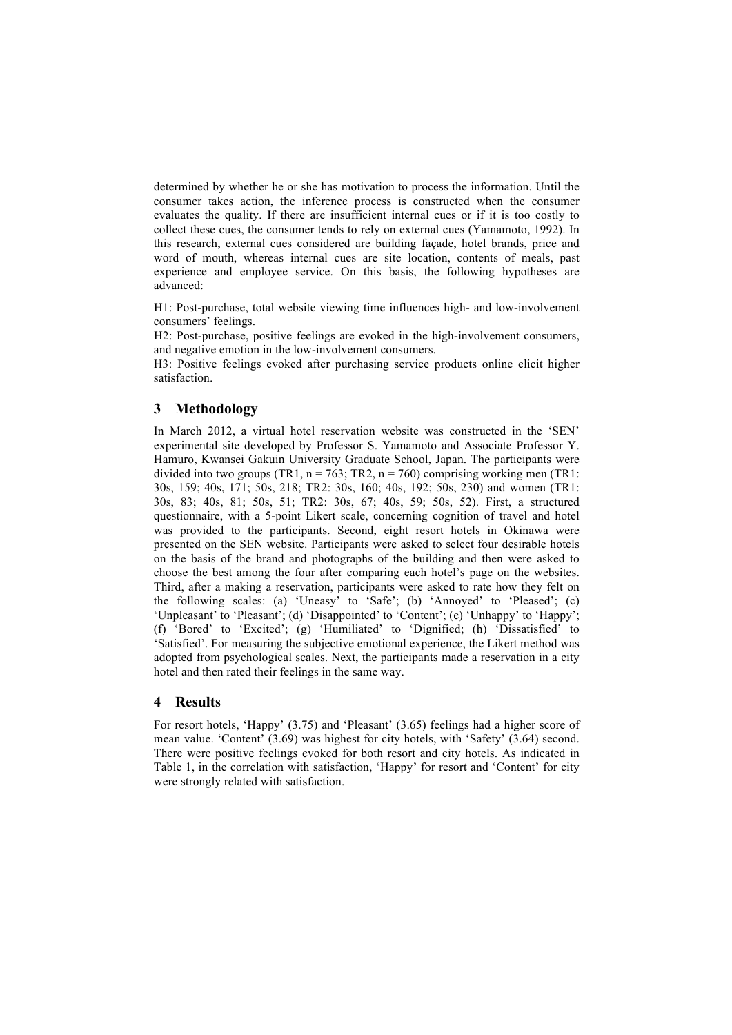determined by whether he or she has motivation to process the information. Until the consumer takes action, the inference process is constructed when the consumer evaluates the quality. If there are insufficient internal cues or if it is too costly to collect these cues, the consumer tends to rely on external cues (Yamamoto, 1992). In this research, external cues considered are building façade, hotel brands, price and word of mouth, whereas internal cues are site location, contents of meals, past experience and employee service. On this basis, the following hypotheses are advanced:

H1: Post-purchase, total website viewing time influences high- and low-involvement consumers' feelings.

H2: Post-purchase, positive feelings are evoked in the high-involvement consumers, and negative emotion in the low-involvement consumers.

H3: Positive feelings evoked after purchasing service products online elicit higher satisfaction.

# **3 Methodology**

In March 2012, a virtual hotel reservation website was constructed in the 'SEN' experimental site developed by Professor S. Yamamoto and Associate Professor Y. Hamuro, Kwansei Gakuin University Graduate School, Japan. The participants were divided into two groups (TR1,  $n = 763$ ; TR2,  $n = 760$ ) comprising working men (TR1: 30s, 159; 40s, 171; 50s, 218; TR2: 30s, 160; 40s, 192; 50s, 230) and women (TR1: 30s, 83; 40s, 81; 50s, 51; TR2: 30s, 67; 40s, 59; 50s, 52). First, a structured questionnaire, with a 5-point Likert scale, concerning cognition of travel and hotel was provided to the participants. Second, eight resort hotels in Okinawa were presented on the SEN website. Participants were asked to select four desirable hotels on the basis of the brand and photographs of the building and then were asked to choose the best among the four after comparing each hotel's page on the websites. Third, after a making a reservation, participants were asked to rate how they felt on the following scales: (a) 'Uneasy' to 'Safe'; (b) 'Annoyed' to 'Pleased'; (c) 'Unpleasant' to 'Pleasant'; (d) 'Disappointed' to 'Content'; (e) 'Unhappy' to 'Happy'; (f) 'Bored' to 'Excited'; (g) 'Humiliated' to 'Dignified; (h) 'Dissatisfied' to 'Satisfied'. For measuring the subjective emotional experience, the Likert method was adopted from psychological scales. Next, the participants made a reservation in a city hotel and then rated their feelings in the same way.

# **4 Results**

For resort hotels, 'Happy' (3.75) and 'Pleasant' (3.65) feelings had a higher score of mean value. 'Content' (3.69) was highest for city hotels, with 'Safety' (3.64) second. There were positive feelings evoked for both resort and city hotels. As indicated in Table 1, in the correlation with satisfaction, 'Happy' for resort and 'Content' for city were strongly related with satisfaction.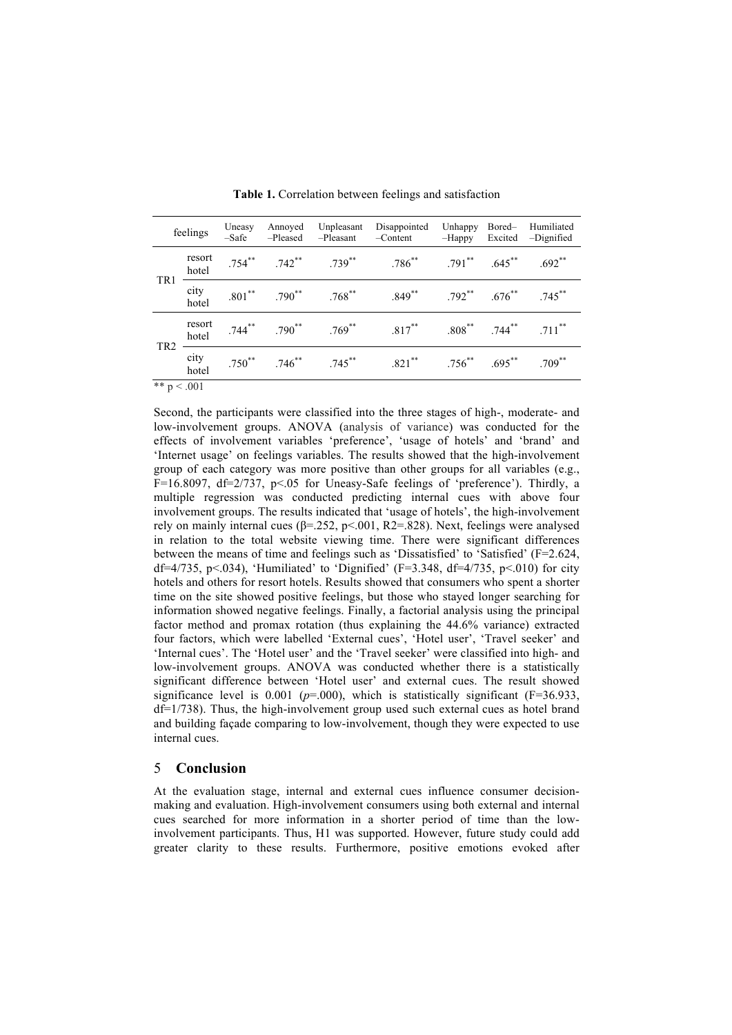| feelings        |                 | Uneasy<br>$-Safe$ | Annoyed<br>-Pleased | Unpleasant<br>-Pleasant                                        | Disappointed<br>$-Content$              | Unhappy<br>-Happy                         | Bored-<br>Excited       | Humiliated<br>-Dignified      |
|-----------------|-----------------|-------------------|---------------------|----------------------------------------------------------------|-----------------------------------------|-------------------------------------------|-------------------------|-------------------------------|
| TR1             | resort<br>hotel |                   |                     |                                                                | $.754***$ $.742***$ $.739***$ $.786***$ | $.791$ ** $.645$ **                       |                         | $.692**$                      |
|                 | city<br>hotel   |                   |                     | $.801$ <sup>**</sup> $.790$ <sup>**</sup> $.768$ <sup>**</sup> | $.849***$                               | $.792$ <sup>**</sup> $.676$ <sup>**</sup> |                         | $.745***$                     |
| TR <sub>2</sub> | resort<br>hotel |                   |                     |                                                                | $.744***$ $.790***$ $.769***$ $.817***$ |                                           |                         | $.808$ ** $.744$ ** $.711$ ** |
|                 | city<br>hotel   |                   |                     | $.750^{**}$ $.746^{**}$ $.745^{**}$                            | $.821***$                               |                                           | $.756^{**}$ $.695^{**}$ | $.709$ **                     |
| $\sim$ $\sim$   |                 |                   |                     |                                                                |                                         |                                           |                         |                               |

**Table 1.** Correlation between feelings and satisfaction

\*\*  $p < .001$ 

Second, the participants were classified into the three stages of high-, moderate- and low-involvement groups. ANOVA (analysis of variance) was conducted for the effects of involvement variables 'preference', 'usage of hotels' and 'brand' and 'Internet usage' on feelings variables. The results showed that the high-involvement group of each category was more positive than other groups for all variables (e.g., F=16.8097, df=2/737, p<.05 for Uneasy-Safe feelings of 'preference'). Thirdly, a multiple regression was conducted predicting internal cues with above four involvement groups. The results indicated that 'usage of hotels', the high-involvement rely on mainly internal cues ( $\beta$ =.252, p <.001, R2=.828). Next, feelings were analysed in relation to the total website viewing time. There were significant differences between the means of time and feelings such as 'Dissatisfied' to 'Satisfied' (F=2.624, df=4/735, p<.034), 'Humiliated' to 'Dignified' (F=3.348, df=4/735, p<.010) for city hotels and others for resort hotels. Results showed that consumers who spent a shorter time on the site showed positive feelings, but those who stayed longer searching for information showed negative feelings. Finally, a factorial analysis using the principal factor method and promax rotation (thus explaining the 44.6% variance) extracted four factors, which were labelled 'External cues', 'Hotel user', 'Travel seeker' and 'Internal cues'. The 'Hotel user' and the 'Travel seeker' were classified into high- and low-involvement groups. ANOVA was conducted whether there is a statistically significant difference between 'Hotel user' and external cues. The result showed significance level is  $0.001$  ( $p=0.00$ ), which is statistically significant ( $F=36.933$ , df=1/738). Thus, the high-involvement group used such external cues as hotel brand and building façade comparing to low-involvement, though they were expected to use internal cues.

### 5 **Conclusion**

At the evaluation stage, internal and external cues influence consumer decisionmaking and evaluation. High-involvement consumers using both external and internal cues searched for more information in a shorter period of time than the lowinvolvement participants. Thus, H1 was supported. However, future study could add greater clarity to these results. Furthermore, positive emotions evoked after